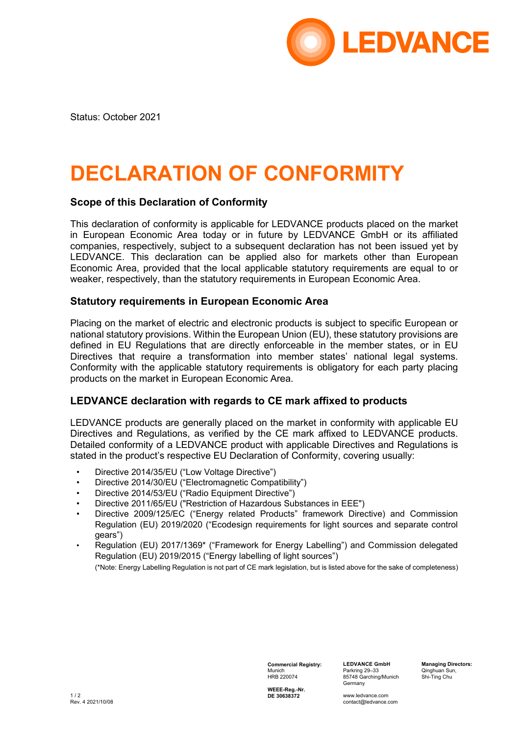

Status: October 2021

# **DECLARATION OF CONFORMITY**

### **Scope of this Declaration of Conformity**

This declaration of conformity is applicable for LEDVANCE products placed on the market in European Economic Area today or in future by LEDVANCE GmbH or its affiliated companies, respectively, subject to a subsequent declaration has not been issued yet by LEDVANCE. This declaration can be applied also for markets other than European Economic Area, provided that the local applicable statutory requirements are equal to or weaker, respectively, than the statutory requirements in European Economic Area.

#### **Statutory requirements in European Economic Area**

Placing on the market of electric and electronic products is subject to specific European or national statutory provisions. Within the European Union (EU), these statutory provisions are defined in EU Regulations that are directly enforceable in the member states, or in EU Directives that require a transformation into member states' national legal systems. Conformity with the applicable statutory requirements is obligatory for each party placing products on the market in European Economic Area.

#### **LEDVANCE declaration with regards to CE mark affixed to products**

LEDVANCE products are generally placed on the market in conformity with applicable EU Directives and Regulations, as verified by the CE mark affixed to LEDVANCE products. Detailed conformity of a LEDVANCE product with applicable Directives and Regulations is stated in the product's respective EU Declaration of Conformity, covering usually:

- Directive 2014/35/EU ("Low Voltage Directive")
- Directive 2014/30/EU ("Electromagnetic Compatibility")
- Directive 2014/53/EU ("Radio Equipment Directive")
- Directive 2011/65/EU ("Restriction of Hazardous Substances in EEE")
- Directive 2009/125/EC ("Energy related Products" framework Directive) and Commission Regulation (EU) 2019/2020 ("Ecodesign requirements for light sources and separate control gears")
- Regulation (EU) 2017/1369\* ("Framework for Energy Labelling") and Commission delegated Regulation (EU) 2019/2015 ("Energy labelling of light sources")

(\*Note: Energy Labelling Regulation is not part of CE mark legislation, but is listed above for the sake of completeness)

**Commercial Registry:** Munich HRB 220074

**LEDVANCE GmbH** Parkring 29–33 85748 Garching/Munich Germany

**Managing Directors:** Qinghuan Sun, Shi-Ting Chu

**WEEE-Reg.-Nr. DE 30638372**

www.ledvance.com contact@ledvance.com